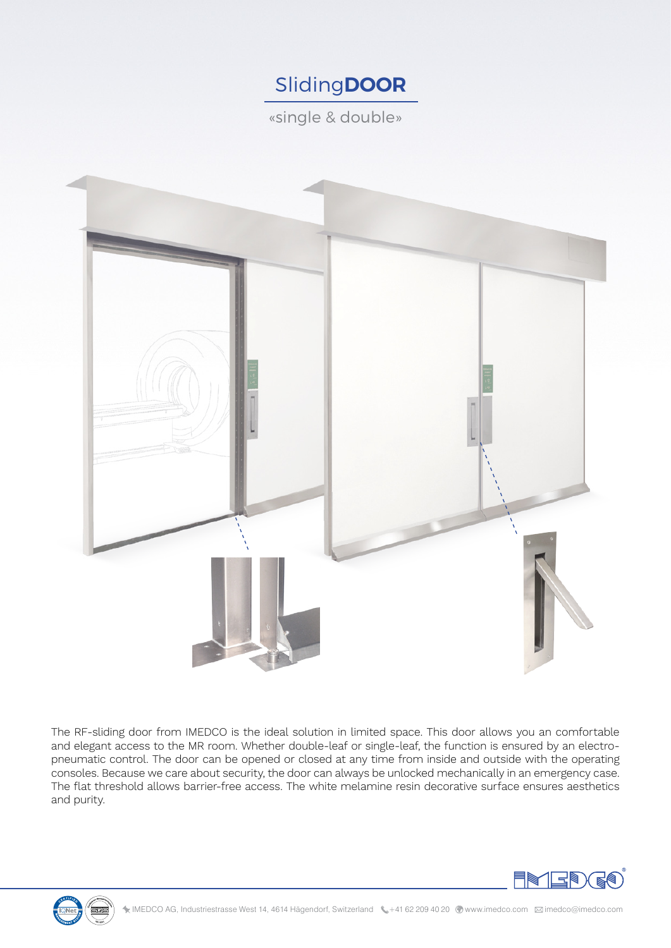# Sliding**DOOR**

«single & double»



The RF-sliding door from IMEDCO is the ideal solution in limited space. This door allows you an comfortable and elegant access to the MR room. Whether double-leaf or single-leaf, the function is ensured by an electropneumatic control. The door can be opened or closed at any time from inside and outside with the operating consoles. Because we care about security, the door can always be unlocked mechanically in an emergency case. The flat threshold allows barrier-free access. The white melamine resin decorative surface ensures aesthetics and purity.